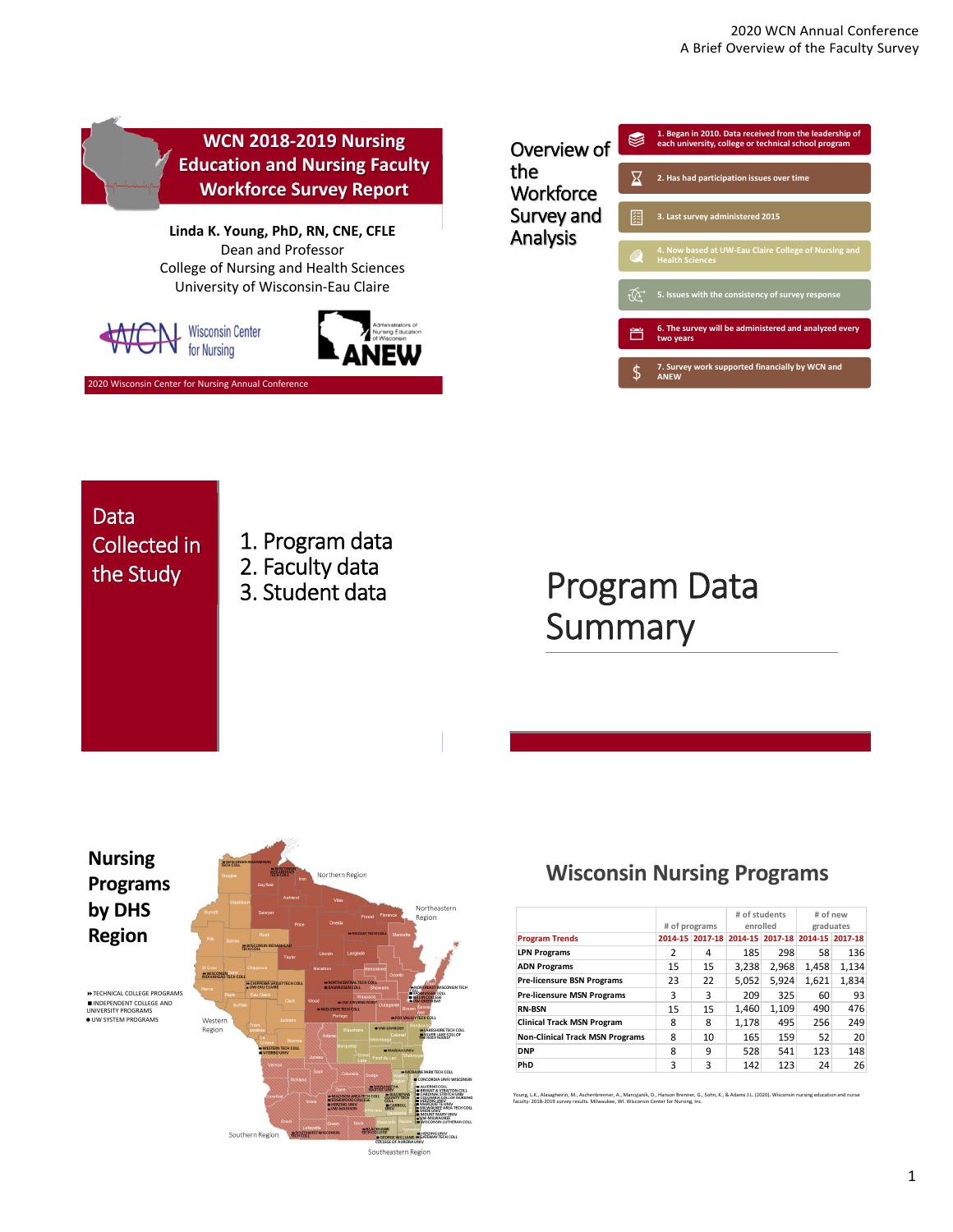

## **Data** Collected in

- 1. Program data
- 2. Faculty data
- 3. Student data

## the Study 2. Faculty data<br>
2. Student data<br>
Program Data **Summary**



Southern Region

**RZING UNIV<br>TIMAY TECH COLL** 

Southeastern Region

### **Wisconsin Nursing Programs**

|                                        | # of programs   |    | # of students<br>enrolled |       | # of new<br>graduates           |       |
|----------------------------------------|-----------------|----|---------------------------|-------|---------------------------------|-------|
| <b>Program Trends</b>                  | 2014-15 2017-18 |    |                           |       | 2014-15 2017-18 2014-15 2017-18 |       |
| <b>LPN Programs</b>                    | 2               | 4  | 185                       | 298   | 58                              | 136   |
| <b>ADN Programs</b>                    | 15              | 15 | 3.238                     | 2.968 | 1,458                           | 1,134 |
| <b>Pre-licensure BSN Programs</b>      | 23              | 22 | 5,052                     | 5,924 | 1,621                           | 1,834 |
| <b>Pre-licensure MSN Programs</b>      | 3               | 3  | 209                       | 325   | 60                              | 93    |
| <b>RN-BSN</b>                          | 15              | 15 | 1.460                     | 1,109 | 490                             | 476   |
| <b>Clinical Track MSN Program</b>      | 8               | 8  | 1,178                     | 495   | 256                             | 249   |
| <b>Non-Clinical Track MSN Programs</b> | 8               | 10 | 165                       | 159   | 52                              | 20    |
| <b>DNP</b>                             | 8               | 9  | 528                       | 541   | 123                             | 148   |
| PhD                                    | 3               | 3  | 142                       | 123   | 24                              | 26    |

Young, L.K., Alasagheirin, M., Aschenbrenner, A., Marcyjanik, D., Hanson Brenner, G., Sohn, K., & Adams J.L. (2020). Wisconsin nursing education and nurse<br>faculty: 2018-2019 survey results. Milwaukee, WI. Wisconsin Center

1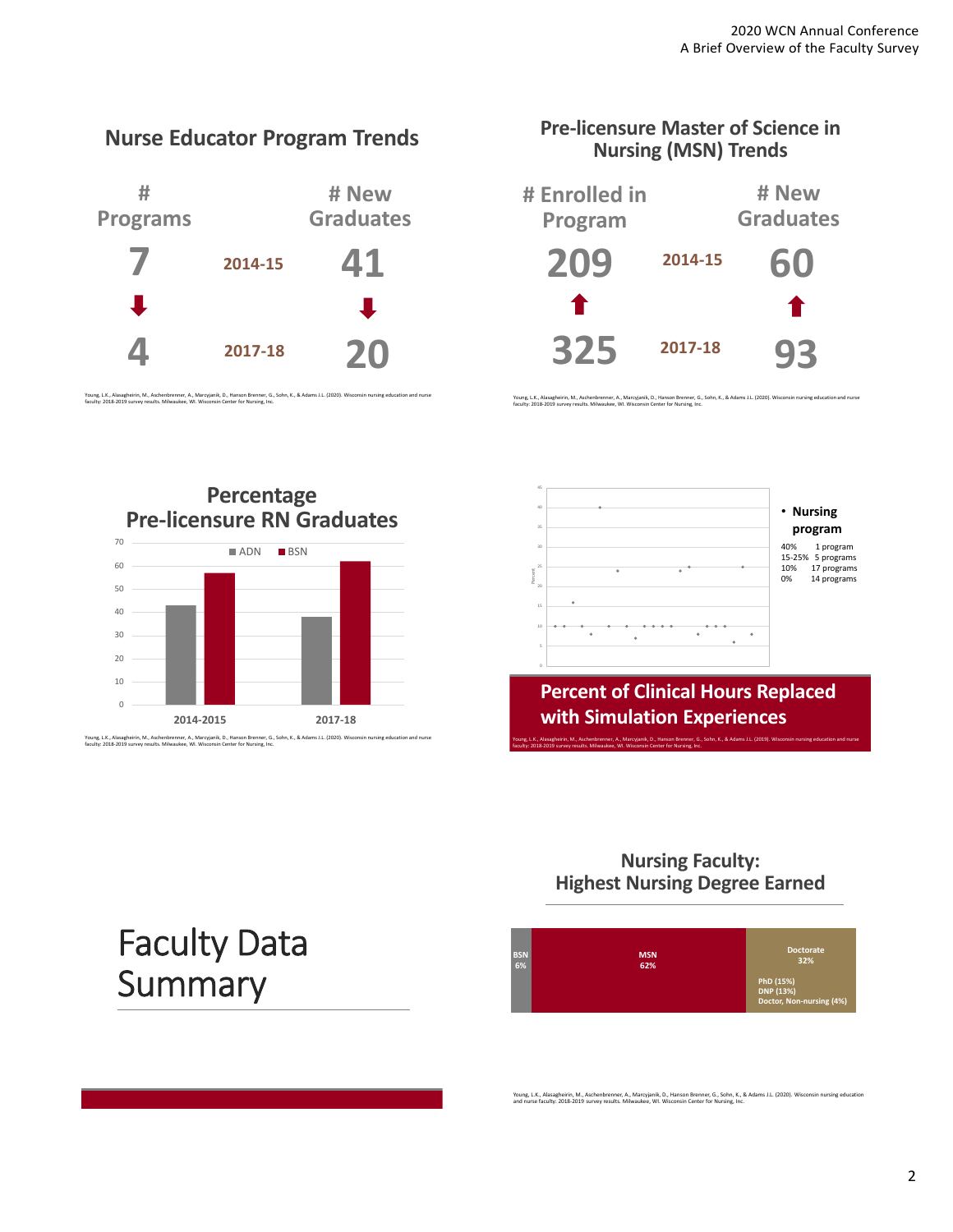**Nurse Educator Program Trends # Programs # New Graduates 4 20 2014‐15 2017‐18 7 41**

Young, L.K., Alasagheirin, M., Aschenbrenner, A., Marcyjanik, D., Hanson Brenner, G., Sohn, K., & Adams J.L. (2020). Wisconsin nursing education and nurse<br>faculty: 2018-2019 survey results. Milwaukee, WI. Wisconsin Center



Young, L.K., Alasagheirin, M., Aschenbrenner, A., Marcyjanik, D., Hanson Brenner, G., Sohn, K., & Adams J.L. (2020). Wisconsin nursing education and nurse<br>faculty: 2018-2019 survey results. Milwaukee, WI. Wisconsin Center

**Pre‐licensure Master of Science in**

**Percentage Pre‐licensure RN Graduates** Young, L.K., Alasagheirin, M., Aschenbrenner, A., Marcyjanik, D., Hanson Brenner, G., Sohn, K., & Adams J.L. (2020). Wisconsin nursing education and nurse<br>faculty: 2018-2019 survey results. Milwaukee, WI. Wisconsin Center  $\Omega$ 10 20 30 40 50 60 70 **2014‐2015 2017‐18** ADN BSN

45 40 • **Nursing program** 35 40% 1 program 15‐25% 5 programs 30  $\cdot$ 25 10% 17 programs 0% 14 programs Percent 20 10  $\bullet$  .  $\rightarrow$ **Percent of Clinical Hours Replaced**

**Nursing Faculty: Highest Nursing Degree Earned**

**with Simulation Experiences**

faculty: 2018‐2019 survey results. Milwaukee, WI. Wisconsin Center for Nursing, Inc.

Young, L.K., Alasagheirin, M., Aschenbrenner, A., Marcyjanik, D., Hanson Brenner, G., Sohn, K., & Adams J.L. (2019). Wisconsin nursing education and nurse



Young, L.K., Alasagheirin, M., Aschenbrenner, A., Marcyjanik, D., Hanson Brenner, G., Sohn, K., & Adams J.L. (2020). Wisconsin nursing education<br>and nurse faculty: 2018-2019 survey results. Milwaukee, WI. Wisconsin Center

# Faculty Data **Summary**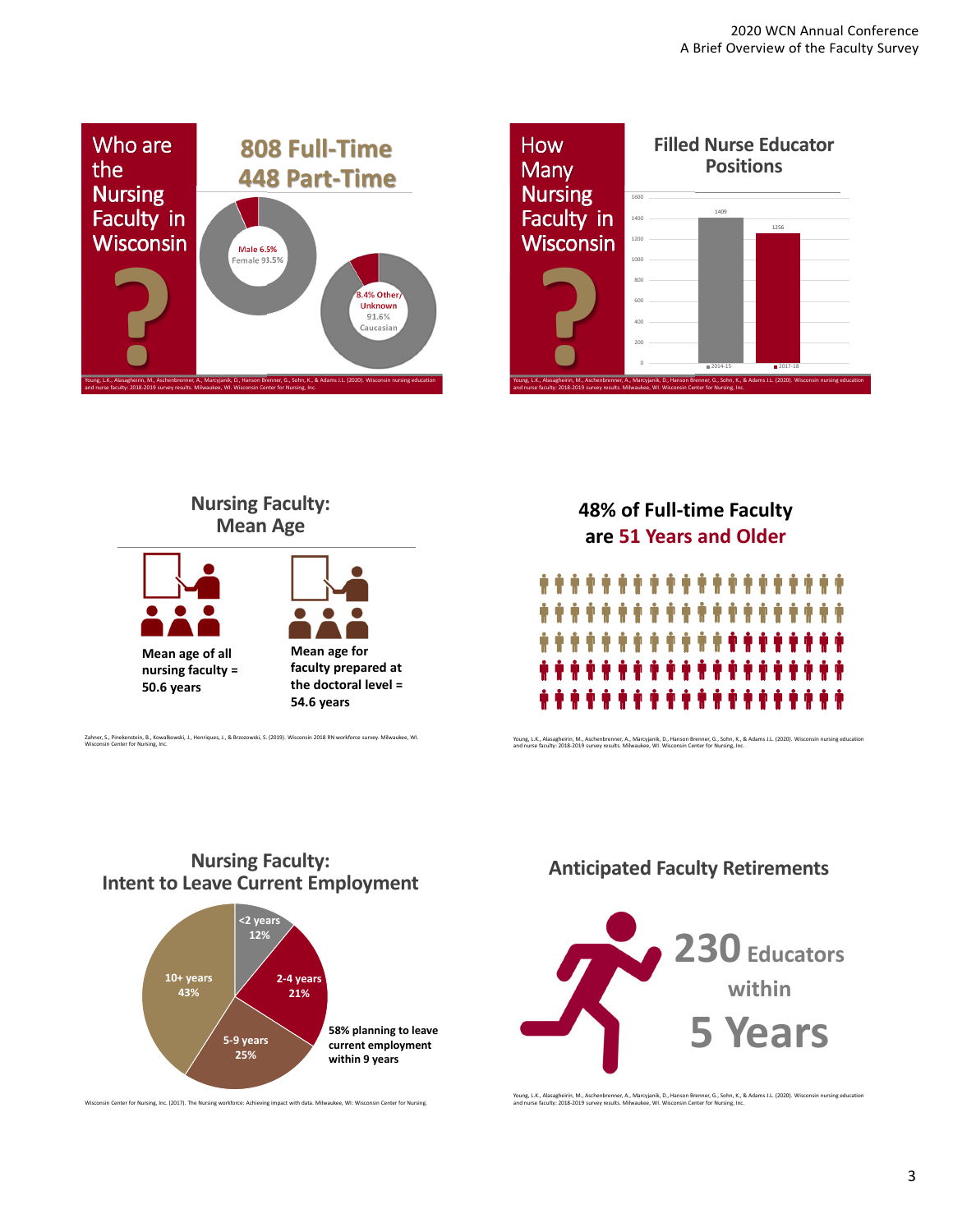





#### Zahner, S., Pinekenstein, B., Kowalk<br>Wisconsin Center for Nursing, Inc.

### **48% of Full‐time Faculty are 51 Years and Older**



Young, L.K., Alasagheirin, M., Aschenbrenner, A., Marcyjanik, D., Hanson Brenner, G., Sohn, K., & Adams J.L. (2020). Wisconsin nursing education<br>and nurse faculty: 2018-2019 survey results. Milwaukee, WI. Wisconsin Center

#### **Nursing Faculty: Intent to Leave Current Employment**



#### **Anticipated Faculty Retirements**



Young, L.K., Alasagheirin, M., Aschenbrenner, A., Marcyjanik, D., Hanson Brenner, G., Sohn, K., & Adams J.L. (2020). Wisconsin nursing education<br>and nurse faculty: 2018-2019 survey results. Milwaukee, WI. Wisconsin Center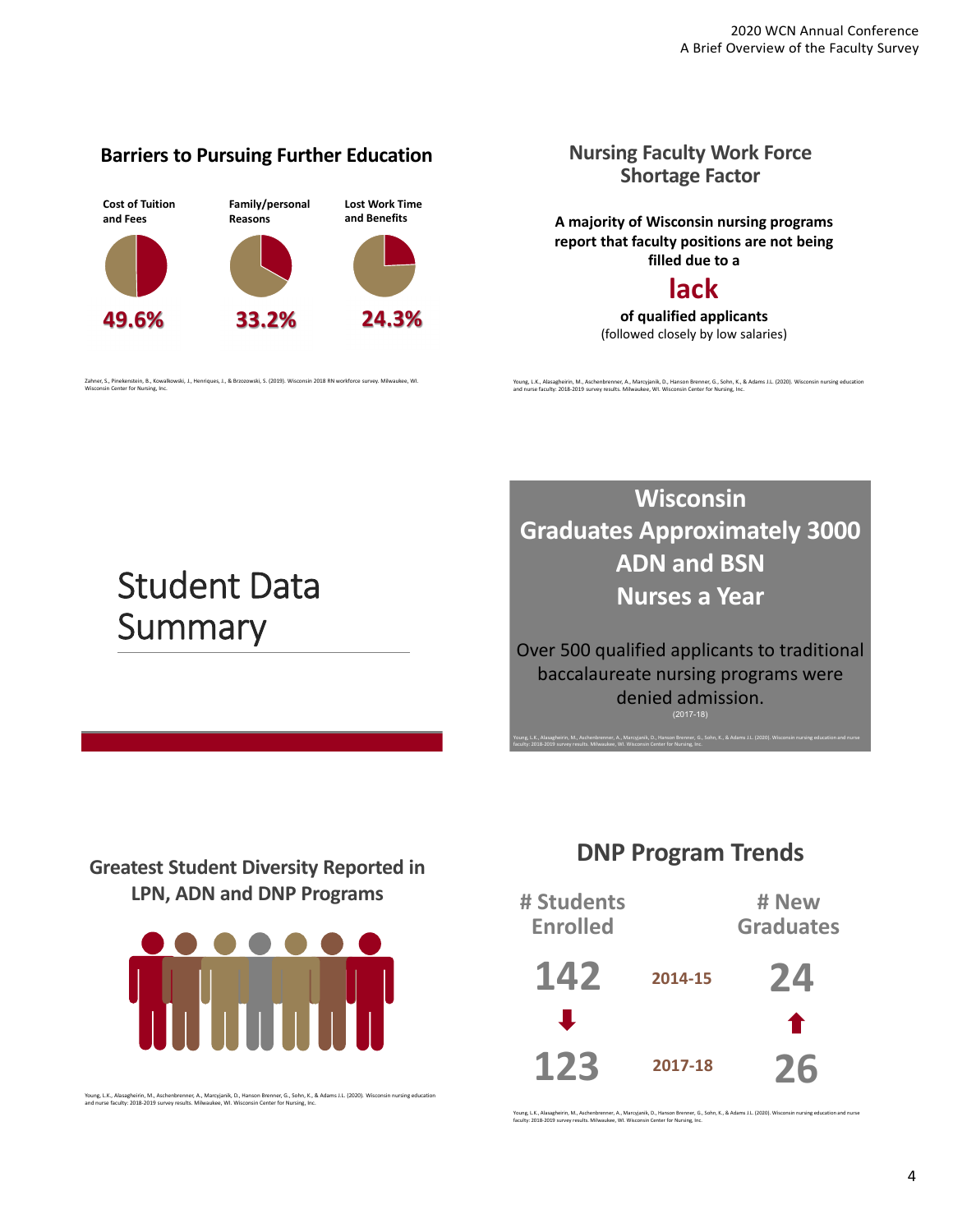#### **Barriers to Pursuing Further Education**



Zahner, S., Pinekenstein, B., Kowalkowski, J., Henriques, J., & Brzozowski, S. (2019). Wisconsin 2018 RN workforce survey. Milwaukee, WI. Wisconsin Center for Nursing, Inc.

#### **Nursing Faculty Work Force Shortage Factor**

**A majority of Wisconsin nursing programs report that faculty positions are not being filled due to a**

### **lack**

**of qualified applicants** (followed closely by low salaries)

Young, L.K., Alasagheirin, M., Aschenbrenner, A., Marcyjanik, D., Hanson Brenner, G., Sohn, K., & Adams J.L. (2020). Wisconsin nursing education<br>and nurse faculty: 2018-2019 survey results. Milwaukee, WI. Wisconsin Center

## Student Data **Summary**

**Wisconsin Graduates Approximately 3000 ADN and BSN Nurses a Year**

Over 500 qualified applicants to traditional baccalaureate nursing programs were denied admission. (2017-18)

Young, L.K., Alasagheirin, M., Aschenbrenner, A., Marcyjanik, D., Hanson Brenner, G., Sohn, K., & Adams J.L. (2020). Wisconsin nursing education and nurse

faculty: 2018‐2019 survey results. Milwaukee, WI. Wisconsin Center for Nursing, Inc.

### **Greatest Student Diversity Reported in LPN, ADN and DNP Programs**



Young, L.K., Alasagheirin, M., Aschenbrenner, A., Marcyjanik, D., Hanson Brenner, G., Sohn, K., & Adams J.L. (2020). Wisconsin nursing education<br>and nurse faculty: 2018-2019 survey results. Milwaukee, WI. Wisconsin Center

### **DNP Program Trends**



Young, L.K., Alasagheirin, M., Aschenbrenner, A., Marcyjanik, D., Hanson Brenner, G., Sohn, K., & Adams J.L. (2020). Wisconsin nursing education and nurse<br>faculty: 2018-2019 survey results. Milwaukee, WI. Wisconsin Center